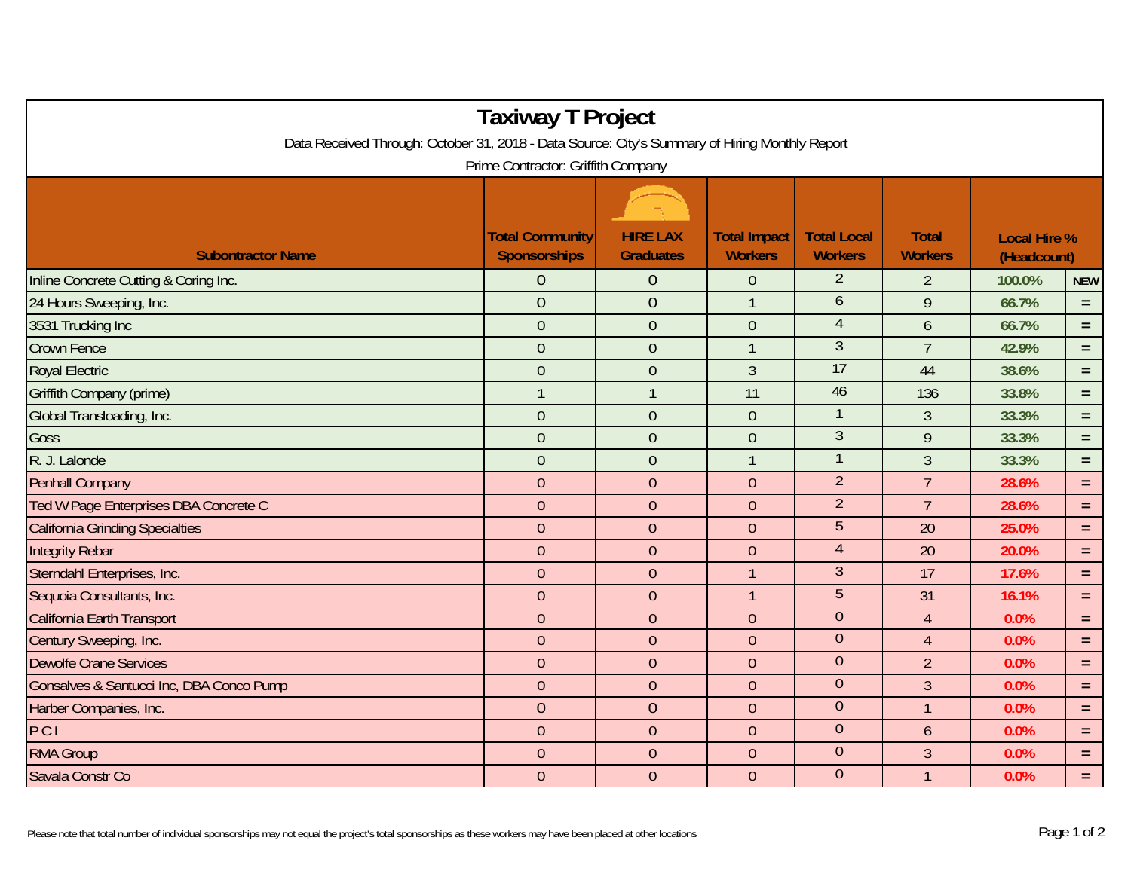| <b>Taxiway T Project</b>                                                                       |                                        |                                     |                                       |                                      |                                |                                    |            |  |  |  |  |  |  |
|------------------------------------------------------------------------------------------------|----------------------------------------|-------------------------------------|---------------------------------------|--------------------------------------|--------------------------------|------------------------------------|------------|--|--|--|--|--|--|
| Data Received Through: October 31, 2018 - Data Source: City's Summary of Hiring Monthly Report |                                        |                                     |                                       |                                      |                                |                                    |            |  |  |  |  |  |  |
| Prime Contractor: Griffith Company                                                             |                                        |                                     |                                       |                                      |                                |                                    |            |  |  |  |  |  |  |
| <b>Subontractor Name</b>                                                                       | <b>Total Community</b><br>Sponsorships | <b>HIRE LAX</b><br><b>Graduates</b> | <b>Total Impact</b><br><b>Workers</b> | <b>Total Local</b><br><b>Workers</b> | <b>Total</b><br><b>Workers</b> | <b>Local Hire %</b><br>(Headcount) |            |  |  |  |  |  |  |
| Inline Concrete Cutting & Coring Inc.                                                          | $\overline{0}$                         | $\overline{0}$                      | $\mathbf 0$                           | $\overline{2}$                       | $\overline{2}$                 | 100.0%                             | <b>NEW</b> |  |  |  |  |  |  |
| 24 Hours Sweeping, Inc.                                                                        | $\theta$                               | $\overline{0}$                      | $\mathbf{1}$                          | 6                                    | $\mathsf{q}$                   | 66.7%                              | $=$        |  |  |  |  |  |  |
| 3531 Trucking Inc                                                                              | $\overline{0}$                         | $\overline{0}$                      | $\overline{0}$                        | $\overline{4}$                       | $\overline{6}$                 | 66.7%                              | $=$        |  |  |  |  |  |  |
| <b>Crown Fence</b>                                                                             | $\overline{0}$                         | $\overline{0}$                      | $\mathbf{1}$                          | $\overline{3}$                       | $\overline{7}$                 | 42.9%                              | $=$        |  |  |  |  |  |  |
| <b>Royal Electric</b>                                                                          | $\overline{0}$                         | $\mathbf{0}$                        | $\mathfrak{Z}$                        | 17                                   | 44                             | 38.6%                              | $=$        |  |  |  |  |  |  |
| Griffith Company (prime)                                                                       | $\mathbf{1}$                           | $\mathbf{1}$                        | 11                                    | 46                                   | 136                            | 33.8%                              | $\equiv$   |  |  |  |  |  |  |
| Global Transloading, Inc.                                                                      | $\theta$                               | $\overline{0}$                      | $\overline{0}$                        | 1                                    | 3                              | 33.3%                              | $\equiv$   |  |  |  |  |  |  |
| Goss                                                                                           | $\overline{0}$                         | $\mathbf{0}$                        | $\overline{0}$                        | $\overline{3}$                       | 9                              | 33.3%                              | $=$        |  |  |  |  |  |  |
| R. J. Lalonde                                                                                  | $\overline{0}$                         | $\mathbf{0}$                        | $\mathbf{1}$                          | $\mathbf{1}$                         | $\mathfrak{Z}$                 | 33.3%                              | $=$        |  |  |  |  |  |  |
| <b>Penhall Company</b>                                                                         | $\overline{0}$                         | $\overline{0}$                      | $\overline{0}$                        | $\overline{2}$                       | $\overline{7}$                 | 28.6%                              | $\equiv$   |  |  |  |  |  |  |
| Ted W Page Enterprises DBA Concrete C                                                          | $\boldsymbol{0}$                       | $\boldsymbol{0}$                    | $\mathbf 0$                           | $\overline{2}$                       | $\overline{7}$                 | 28.6%                              | $=$        |  |  |  |  |  |  |
| <b>California Grinding Specialties</b>                                                         | $\mathbf{0}$                           | $\overline{0}$                      | $\overline{0}$                        | 5                                    | 20                             | 25.0%                              | $\equiv$   |  |  |  |  |  |  |
| <b>Integrity Rebar</b>                                                                         | $\theta$                               | $\overline{0}$                      | $\overline{0}$                        | $\overline{4}$                       | 20                             | 20.0%                              | $\equiv$   |  |  |  |  |  |  |
| Sterndahl Enterprises, Inc.                                                                    | $\overline{0}$                         | $\overline{0}$                      | $\mathbf{1}$                          | $\mathfrak{Z}$                       | 17                             | 17.6%                              | $\equiv$   |  |  |  |  |  |  |
| Sequoia Consultants, Inc.                                                                      | $\theta$                               | $\mathbf{0}$                        | $\mathbf{1}$                          | 5                                    | 31                             | 16.1%                              | $=$        |  |  |  |  |  |  |
| California Earth Transport                                                                     | $\overline{0}$                         | $\overline{0}$                      | $\overline{0}$                        | $\overline{0}$                       | $\overline{4}$                 | 0.0%                               | $=$        |  |  |  |  |  |  |
| Century Sweeping, Inc.                                                                         | $\overline{0}$                         | $\mathbf{0}$                        | $\overline{0}$                        | $\overline{0}$                       | $\overline{4}$                 | 0.0%                               | $=$        |  |  |  |  |  |  |
| <b>Dewolfe Crane Services</b>                                                                  | $\theta$                               | $\overline{0}$                      | $\overline{0}$                        | $\overline{0}$                       | $\overline{2}$                 | 0.0%                               | $\equiv$   |  |  |  |  |  |  |
| Gonsalves & Santucci Inc, DBA Conco Pump                                                       | $\overline{0}$                         | $\mathbf{0}$                        | $\overline{0}$                        | $\overline{0}$                       | 3                              | 0.0%                               | $\equiv$   |  |  |  |  |  |  |
| Harber Companies, Inc.                                                                         | $\theta$                               | $\overline{0}$                      | $\overline{0}$                        | $\theta$                             | $\overline{1}$                 | 0.0%                               | $=$        |  |  |  |  |  |  |
| PCI                                                                                            | $\theta$                               | $\overline{0}$                      | $\mathbf 0$                           | $\theta$                             | 6                              | 0.0%                               | $=$        |  |  |  |  |  |  |
| <b>RMA Group</b>                                                                               | $\overline{0}$                         | $\overline{0}$                      | $\overline{0}$                        | $\overline{0}$                       | $\overline{3}$                 | 0.0%                               | $\equiv$   |  |  |  |  |  |  |
| Savala Constr Co                                                                               | $\overline{0}$                         | $\overline{0}$                      | $\overline{0}$                        | $\overline{0}$                       | $\mathbf{1}$                   | 0.0%                               | $=$        |  |  |  |  |  |  |